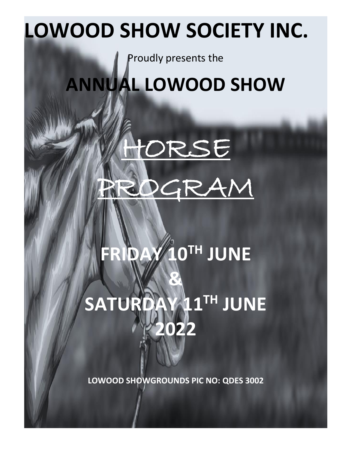# **LOWOOD SHOW SOCIETY INC.**

Proudly presents the

**ANNUAL LOWOOD SHOW**



# **FRIDAY 10 TH JUNE & SATURDAY 11 TH JUNE 2022**

**LOWOOD SHOWGROUNDS PIC NO: QDES 3002**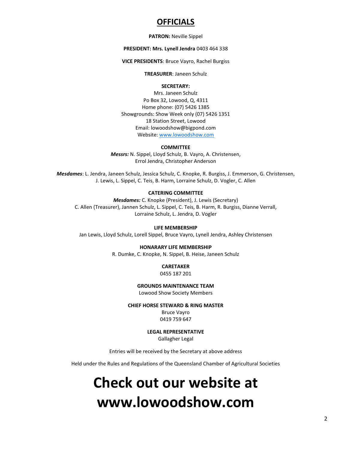#### **OFFICIALS**

#### **PATRON:** Neville Sippel

#### **PRESIDENT: Mrs. Lynell Jendra** 0403 464 338

**VICE PRESIDENTS**: Bruce Vayro, Rachel Burgiss

**TREASURER**: Janeen Schulz

#### **SECRETARY:**

Mrs. Janeen Schulz Po Box 32, Lowood, Q, 4311 Home phone: (07) 5426 1385 Showgrounds: Show Week only (07) 5426 1351 18 Station Street, Lowood Email: lowoodshow@bigpond.com Website[: www.lowoodshow.com](http://www.lowoodshow.com/)

#### **COMMITTEE**

*Messrs:* N. Sippel, Lloyd Schulz, B. Vayro, A. Christensen, Errol Jendra, Christopher Anderson

*Mesdames*: L. Jendra, Janeen Schulz, Jessica Schulz, C. Knopke, R. Burgiss, J. Emmerson, G. Christensen, J. Lewis, L. Sippel, C. Teis, B. Harm, Lorraine Schulz, D. Vogler, C. Allen

#### **CATERING COMMITTEE**

*Mesdames:* C. Knopke (President), J. Lewis (Secretary) C. Allen (Treasurer), Jannen Schulz, L. Sippel, C. Teis, B. Harm, R. Burgiss, Dianne Verrall, Lorraine Schulz, L. Jendra, D. Vogler

#### **LIFE MEMBERSHIP**

Jan Lewis, Lloyd Schulz, Lorell Sippel, Bruce Vayro, Lynell Jendra, Ashley Christensen

#### **HONARARY LIFE MEMBERSHIP**

R. Dumke, C. Knopke, N. Sippel, B. Heise, Janeen Schulz

#### **CARETAKER**

0455 187 201

#### **GROUNDS MAINTENANCE TEAM**

Lowood Show Society Members

#### **CHIEF HORSE STEWARD & RING MASTER**

Bruce Vayro 0419 759 647

#### **LEGAL REPRESENTATIVE**

Gallagher Legal

Entries will be received by the Secretary at above address

Held under the Rules and Regulations of the Queensland Chamber of Agricultural Societies

## **Check out our website at www.lowoodshow.com**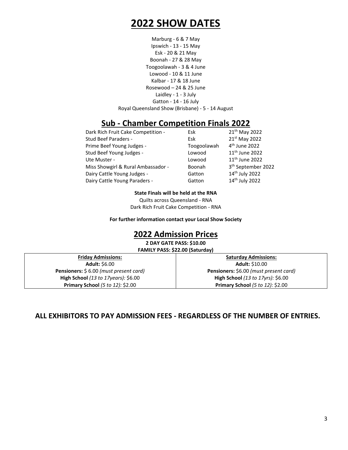## **2022 SHOW DATES**

Marburg - 6 & 7 May Ipswich - 13 - 15 May Esk - 20 & 21 May Boonah - 27 & 28 May Toogoolawah - 3 & 4 June Lowood - 10 & 11 June Kalbar - 17 & 18 June Rosewood – 24 & 25 June Laidley - 1 - 3 July Gatton - 14 - 16 July Royal Queensland Show (Brisbane) - 5 - 14 August

### **Sub - Chamber Competition Finals 2022**

| Dark Rich Fruit Cake Competition - | Esk         | 21 <sup>th</sup> May 2022      |
|------------------------------------|-------------|--------------------------------|
| Stud Beef Paraders -               | Esk         | 21st May 2022                  |
| Prime Beef Young Judges -          | Toogoolawah | 4 <sup>th</sup> June 2022      |
| Stud Beef Young Judges -           | Lowood      | 11 <sup>th</sup> June 2022     |
| Ute Muster -                       | Lowood      | 11 <sup>th</sup> June 2022     |
| Miss Showgirl & Rural Ambassador - | Boonah      | 3 <sup>th</sup> September 2022 |
| Dairy Cattle Young Judges -        | Gatton      | 14 <sup>th</sup> July 2022     |
| Dairy Cattle Young Paraders -      | Gatton      | 14 <sup>th</sup> July 2022     |

**State Finals will be held at the RNA**

Quilts across Queensland - RNA Dark Rich Fruit Cake Competition - RNA

**For further information contact your Local Show Society**

### **2022 Admission Prices**

**2 DAY GATE PASS: \$10.00 FAMILY PASS: \$22.00 (Saturday)**

**Friday Admissions: Adult:** \$6.00 **Pensioners:** \$ 6.00 *(must present card)* **High School** *(13 to 17years):* \$6.00 **Primary School** *(5 to 12):* \$2.00

**Saturday Admissions: Adult:** \$10.00 **Pensioners:** \$6.00 *(must present card)* **High School** *(13 to 17yrs):* \$6.00 **Primary School** *(5 to 12):* \$2.00

**ALL EXHIBITORS TO PAY ADMISSION FEES - REGARDLESS OF THE NUMBER OF ENTRIES.**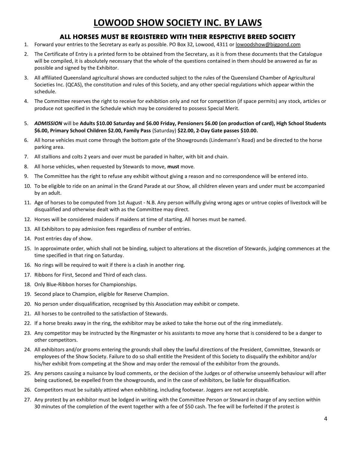## **LOWOOD SHOW SOCIETY INC. BY LAWS**

#### **ALL HORSES MUST BE REGISTERED WITH THEIR RESPECTIVE BREED SOCIETY**

- 1. Forward your entries to the Secretary as early as possible. PO Box 32, Lowood, 4311 o[r lowoodshow@bigpond.com](mailto:lowoodshow@bigpond.com)
- 2. The Certificate of Entry is a printed form to be obtained from the Secretary, as it is from these documents that the Catalogue will be compiled, it is absolutely necessary that the whole of the questions contained in them should be answered as far as possible and signed by the Exhibitor.
- 3. All affiliated Queensland agricultural shows are conducted subject to the rules of the Queensland Chamber of Agricultural Societies Inc. (QCAS), the constitution and rules of this Society, and any other special regulations which appear within the schedule.
- 4. The Committee reserves the right to receive for exhibition only and not for competition (if space permits) any stock, articles or produce not specified in the Schedule which may be considered to possess Special Merit.
- 5. *ADMISSION* will be **Adults \$10.00 Saturday and \$6.00 Friday, Pensioners \$6.00 (on production of card), High School Students \$6.00, Primary School Children \$2.00, Family Pass** (Saturday) **\$22.00, 2-Day Gate passes \$10.00.**
- 6. All horse vehicles must come through the bottom gate of the Showgrounds (Lindemann's Road) and be directed to the horse parking area.
- 7. All stallions and colts 2 years and over must be paraded in halter, with bit and chain.
- 8. All horse vehicles, when requested by Stewards to move, **must** move.
- 9. The Committee has the right to refuse any exhibit without giving a reason and no correspondence will be entered into.
- 10. To be eligible to ride on an animal in the Grand Parade at our Show, all children eleven years and under must be accompanied by an adult.
- 11. Age of horses to be computed from 1st August N.B. Any person wilfully giving wrong ages or untrue copies of livestock will be disqualified and otherwise dealt with as the Committee may direct.
- 12. Horses will be considered maidens if maidens at time of starting. All horses must be named.
- 13. All Exhibitors to pay admission fees regardless of number of entries.
- 14. Post entries day of show.
- 15. In approximate order, which shall not be binding, subject to alterations at the discretion of Stewards, judging commences at the time specified in that ring on Saturday.
- 16. No rings will be required to wait if there is a clash in another ring.
- 17. Ribbons for First, Second and Third of each class.
- 18. Only Blue-Ribbon horses for Championships.
- 19. Second place to Champion, eligible for Reserve Champion.
- 20. No person under disqualification, recognised by this Association may exhibit or compete.
- 21. All horses to be controlled to the satisfaction of Stewards.
- 22. If a horse breaks away in the ring, the exhibitor may be asked to take the horse out of the ring immediately.
- 23. Any competitor may be instructed by the Ringmaster or his assistants to move any horse that is considered to be a danger to other competitors.
- 24. All exhibitors and/or grooms entering the grounds shall obey the lawful directions of the President, Committee, Stewards or employees of the Show Society. Failure to do so shall entitle the President of this Society to disqualify the exhibitor and/or his/her exhibit from competing at the Show and may order the removal of the exhibitor from the grounds.
- 25. Any persons causing a nuisance by loud comments, or the decision of the Judges or of otherwise unseemly behaviour will after being cautioned, be expelled from the showgrounds, and in the case of exhibitors, be liable for disqualification.
- 26. Competitors must be suitably attired when exhibiting, including footwear. Joggers are not acceptable.
- 27. Any protest by an exhibitor must be lodged in writing with the Committee Person or Steward in charge of any section within 30 minutes of the completion of the event together with a fee of \$50 cash. The fee will be forfeited if the protest is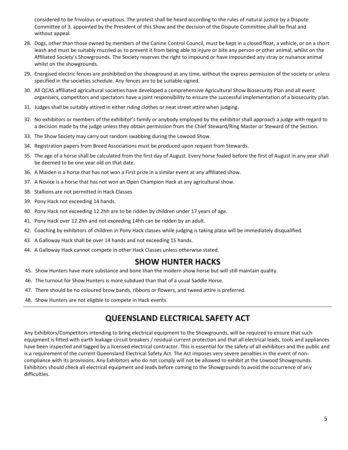considered to be frivolous or vexatious. The protest shall be heard according to the rules of natural justice by a Dispute Committee of 3, appointed by the President of this Show and the decision of the Dispute Committee shall be final and without appeal.

- 28. Dogs, other than those owned by members of the Canine Control Council, must be kept in a closed float, a vehicle, or on a short leash and must be suitably muzzled as to prevent it from being able to injure or bite any person or other animal, whilst on the Affiliated Society's Showgrounds. The Society reserves the right to impound or have impounded any stray or nuisance animal whilst on the showgrounds.
- 29. Energised electric fences are prohibited on the showground at any time, without the express permission of the society or unless specified in the societies schedule. Any fences are to be suitable signed.
- 30. All QCAS affiliated agricultural societies have developed a comprehensive Agricultural Show Biosecurity Plan and all event organisers, competitors and spectators have a joint responsibility to ensure the successful implementation of a biosecurity plan.
- 31. Judges shall be suitably attired in either riding clothes or neat street attire when judging.
- 32. No exhibitors or members of the exhibitor's family or anybody employed by the exhibitor shall approach a judge with regard to a decision made by the judge unless they obtain permission from the Chief Steward/Ring Master or Steward of the Section.
- 33. The Show Society may carry out random swabbing during the Lowood Show.
- 34. Registration papers from Breed Associations must be produced upon request from Stewards.
- 35. The age of a horse shall be calculated from the first day of August. Every horse foaled before the first of August in any year shall be deemed to be one year old on that date.
- 36. A Maiden is a horse that has not won a First prize in a similar event at any affiliated show.
- 37. A Novice is a horse that has not won an Open Champion Hack at any agricultural show.
- 38. Stallions are not permitted in Hack Classes.
- 39. Pony Hack not exceeding 14 hands.
- 40. Pony Hack not exceeding 12.2hh are to be ridden by children under 17 years of age.
- 41. Pony Hack over 12.2hh and not exceeding 14hh can be ridden by an adult.
- 42. Coaching by exhibitors of children in Pony Hack classes while judging is taking place will be immediately disqualified.
- 43. A Galloway Hack shall be over 14 hands and not exceeding 15 hands.
- 44. A Galloway Hack cannot compete in other Hack Classes unless otherwise stated.

#### **SHOW HUNTER HACKS**

- 45. Show Hunters have more substance and bone than the modern show horse but will still maintain quality.
- 46. The turnout for Show Hunters is more subdued than that of a usual Saddle Horse.
- 47. There should be no coloured brow bands, ribbons or flowers, and tweed attire is preferred.
- 48. Show Hunters are not eligible to compete in Hack events.

## **QUEENSLAND ELECTRICAL SAFETY ACT**

Any Exhibitors/Competitors intending to bring electrical equipment to the Showgrounds, will be required to ensure that such equipment is fitted with earth leakage circuit breakers / residual current protection and that all electrical leads, tools and appliances have been inspected and tagged by a licensed electrical contractor. This is essential for the safety of all exhibitors and the public and is a requirement of the current Queensland Electrical Safety Act. The Act imposes very severe penalties in the event of noncompliance with its provisions. Any Exhibitors who do not comply will not be allowed to exhibit at the Lowood Showgrounds. Exhibitors should check all electrical equipment and leads before coming to the Showgrounds to avoid the occurrence of any difficulties.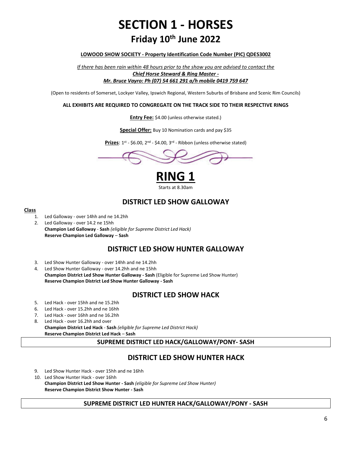## **SECTION 1 - HORSES Friday 10 th June 2022**

#### **LOWOOD SHOW SOCIETY - Property Identification Code Number (PIC) QDES3002**

*If there has been rain within 48 hours prior to the show you are advised to contact the Chief Horse Steward & Ring Master - Mr. Bruce Vayro: Ph (07) 54 661 291 a/h mobile 0419 759 647*

(Open to residents of Somerset, Lockyer Valley, Ipswich Regional, Western Suburbs of Brisbane and Scenic Rim Councils)

#### **ALL EXHIBITS ARE REQUIRED TO CONGREGATE ON THE TRACK SIDE TO THEIR RESPECTIVE RINGS**

**Entry Fee:** \$4.00 (unless otherwise stated.)

**Special Offer:** Buy 10 Nomination cards and pay \$35

Prizes: 1<sup>st</sup> - \$6.00, 2<sup>nd</sup> - \$4.00, 3<sup>rd</sup> - Ribbon (unless otherwise stated)



**RING 1** Starts at 8.30am

#### **DISTRICT LED SHOW GALLOWAY**

#### **Class**

- 1. Led Galloway over 14hh and ne 14.2hh
- 2. Led Galloway over 14.2 ne 15hh **Champion Led Galloway** - **Sash** *(eligible for Supreme District Led Hack)* **Reserve Champion Led Galloway** – **Sash**

#### **DISTRICT LED SHOW HUNTER GALLOWAY**

- 3. Led Show Hunter Galloway over 14hh and ne 14.2hh
- 4. Led Show Hunter Galloway over 14.2hh and ne 15hh **Champion District Led Show Hunter Galloway - Sash** (Eligible for Supreme Led Show Hunter) **Reserve Champion District Led Show Hunter Galloway - Sash**

#### **DISTRICT LED SHOW HACK**

- 5. Led Hack over 15hh and ne 15.2hh
- 6. Led Hack over 15.2hh and ne 16hh
- 7. Led Hack over 16hh and ne 16.2hh
- 8. Led Hack over 16.2hh and over **Champion District Led Hack** - **Sash** *(eligible for Supreme Led District Hack)* **Reserve Champion District Led Hack** – **Sash**

#### **SUPREME DISTRICT LED HACK/GALLOWAY/PONY- SASH**

#### **DISTRICT LED SHOW HUNTER HACK**

- 9. Led Show Hunter Hack over 15hh and ne 16hh
- 10. Led Show Hunter Hack over 16hh

**Champion District Led Show Hunter - Sash** *(eligible for Supreme Led Show Hunter)* **Reserve Champion District Show Hunter - Sash**

#### **SUPREME DISTRICT LED HUNTER HACK/GALLOWAY/PONY - SASH**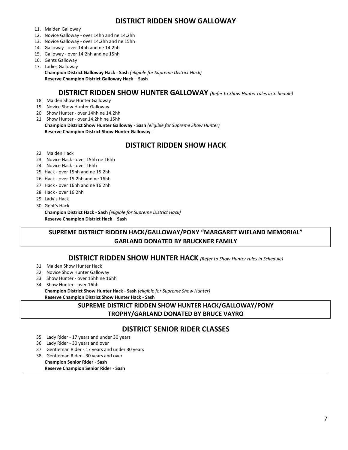#### **DISTRICT RIDDEN SHOW GALLOWAY**

- 11. Maiden Galloway
- 12. Novice Galloway over 14hh and ne 14.2hh
- 13. Novice Galloway over 14.2hh and ne 15hh
- 14. Galloway over 14hh and ne 14.2hh
- 15. Galloway over 14.2hh and ne 15hh
- 16. Gents Galloway
- 17. Ladies Galloway

**Champion District Galloway Hack** - **Sash** *(eligible for Supreme District Hack)* **Reserve Champion District Galloway Hack** – **Sash**

#### **DISTRICT RIDDEN SHOW HUNTER GALLOWAY** *(Refer to Show Hunter rules in Schedule)*

- 18. Maiden Show Hunter Galloway
- 19. Novice Show Hunter Galloway
- 20. Show Hunter over 14hh ne 14.2hh
- 21. Show Hunter over 14.2hh ne 15hh **Champion District Show Hunter Galloway** - **Sash** *(eligible for Supreme Show Hunter)* **Reserve Champion District Show Hunter Galloway** -

#### **DISTRICT RIDDEN SHOW HACK**

- 22. Maiden Hack
- 23. Novice Hack over 15hh ne 16hh
- 24. Novice Hack over 16hh
- 25. Hack over 15hh and ne 15.2hh
- 26. Hack over 15.2hh and ne 16hh
- 27. Hack over 16hh and ne 16.2hh
- 28. Hack over 16.2hh
- 29. Lady's Hack
- 30. Gent's Hack

**Champion District Hack** - **Sash** *(eligible for Supreme District Hack)* **Reserve Champion District Hack** – **Sash**

#### **SUPREME DISTRICT RIDDEN HACK/GALLOWAY/PONY "MARGARET WIELAND MEMORIAL" GARLAND DONATED BY BRUCKNER FAMILY**

#### **DISTRICT RIDDEN SHOW HUNTER HACK** *(Refer to Show Hunter rules in Schedule)*

- 31. Maiden Show Hunter Hack
- 32. Novice Show Hunter Galloway
- 33. Show Hunter over 15hh ne 16hh
- 34. Show Hunter over 16hh

**Champion District Show Hunter Hack** - **Sash** *(eligible for Supreme Show Hunter)* **Reserve Champion District Show Hunter Hack** - **Sash**

#### **SUPREME DISTRICT RIDDEN SHOW HUNTER HACK/GALLOWAY/PONY TROPHY/GARLAND DONATED BY BRUCE VAYRO**

#### **DISTRICT SENIOR RIDER CLASSES**

- 35. Lady Rider 17 years and under 30 years
- 36. Lady Rider 30 years and over
- 37. Gentleman Rider 17 years and under 30 years

38. Gentleman Rider - 30 years and over **Champion Senior Rider** - **Sash**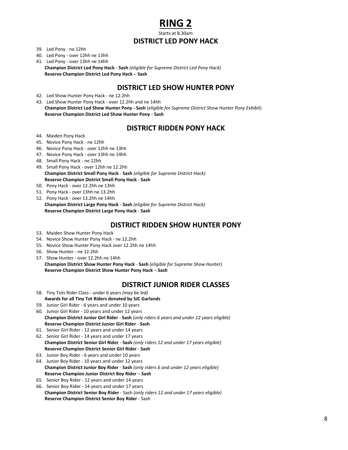## **RING 2**

Starts at 8.30am

#### **DISTRICT LED PONY HACK**

- 39. Led Pony ne 12hh
- 40. Led Pony over 12hh ne 13hh
- 41. Led Pony over 13hh ne 14hh **Champion District Led Pony Hack** - **Sash** *(eligible for Supreme District Led Pony Hack)* **Reserve Champion District Led Pony Hack** – **Sash**

#### **DISTRICT LED SHOW HUNTER PONY**

- 42. Led Show Hunter Pony Hack ne 12.2hh
- 43. Led Show Hunter Pony Hack over 12.2hh and ne 14hh **Champion District Led Show Hunter Pony - Sash** (*eligible for Supreme District Show Hunter Pony Exhibit*) **Reserve Champion District Led Show Hunter Pony - Sash**

#### **DISTRICT RIDDEN PONY HACK**

- 44. Maiden Pony Hack
- 45. Novice Pony Hack ne 12hh
- 46. Novice Pony Hack over 12hh ne 13hh
- 47. Novice Pony Hack over 13hh ne 14hh
- 48. Small Pony Hack ne 12hh
- 49. Small Pony Hack over 12hh ne 12.2hh **Champion District Small Pony Hack** - **Sash** *(eligible for Supreme District Hack)* **Reserve Champion District Small Pony Hack** - **Sash**
- 50. Pony Hack over 12.2hh ne 13hh
- 51. Pony Hack over 13hh ne 13.2hh
- 52. Pony Hack over 13.2hh ne 14hh **Champion District Large Pony Hack** - **Sash** *(eligible for Supreme District Hack)* **Reserve Champion District Large Pony Hack** - **Sash**

#### **DISTRICT RIDDEN SHOW HUNTER PONY**

- 53. Maiden Show Hunter Pony Hack
- 54. Novice Show Hunter Pony Hack ne 12.2hh
- 55. Novice Show Hunter Pony Hack over 12.2hh ne 14hh
- 56. Show Hunter ne 12.2hh
- 57. Show Hunter over 12.2hh ne 14hh **Champion District Show Hunter Pony Hack** - **Sash** *(eligible for Supreme Show Hunter)* **Reserve Champion District Show Hunter Pony Hack** – **Sash**

#### **DISTRICT JUNIOR RIDER CLASSES**

- 58. Tiny Tots Rider Class under 6 years *(may be led)* **Awards for all Tiny Tot Riders donated by SJC Garlands**
- 59. Junior Girl Rider 6 years and under 10 years
- 60. Junior Girl Rider 10 years and under 12 years **Champion District Junior Girl Rider** - **Sash** *(only riders 6 years and under 12 years eligible)* **Reserve Champion District Junior Girl Rider** - **Sash**
- 61. Senior Girl Rider 12 years and under 14 years
- 62. Senior Girl Rider 14 years and under 17 years **Champion District Senior Girl Rider** - **Sash** *(only riders 12 and under 17 years eligible)* **Reserve Champion District Senior Girl Rider** - **Sash**
- 63. Junior Boy Rider 6 years and under 10 years
- 64. Junior Boy Rider 10 years and under 12 years **Champion District Junior Boy Rider** - **Sash** *(only riders 6 and under 12 years eligible)* **Reserve Champion Junior District Boy Rider** – **Sash**
- 65. Senior Boy Rider 12 years and under 14 years
- 66. Senior Boy Rider 14 years and under 17 years **Champion District Senior Boy Rider** - Sash *(only riders 12 and under 17 years eligible)* **Reserve Champion District Senior Boy Rider** - Sash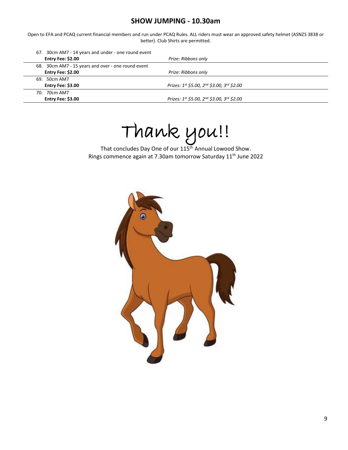#### **SHOW JUMPING - 10.30am**

Open to EFA and PCAQ current financial members and run under PCAQ Rules. ALL riders must wear an approved safety helmet (ASNZS 3838 or better). Club Shirts are permitted.

| 67. 30cm AM7 - 14 years and under - one round event<br>Entry Fee: \$2.00 | Prize: Ribbons only                        |
|--------------------------------------------------------------------------|--------------------------------------------|
| 68. 30cm AM7 - 15 years and over - one round event                       |                                            |
| Entry Fee: \$2.00                                                        | Prize: Ribbons only                        |
| 69. 50cm AM7                                                             |                                            |
| Entry Fee: \$3.00                                                        | Prizes: 1st \$5.00, 2nd \$3.00, 3rd \$2.00 |
| 70. 70cm AM7                                                             |                                            |
| Entry Fee: \$3.00                                                        | Prizes: 1st \$5.00, 2nd \$3.00, 3rd \$2.00 |

Thank you!!

That concludes Day One of our 115<sup>th</sup> Annual Lowood Show. Rings commence again at 7.30am tomorrow Saturday 11<sup>th</sup> June 2022

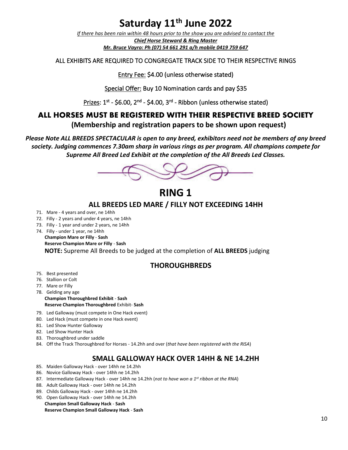## **Saturday 11 th June 2022**

*If there has been rain within 48 hours prior to the show you are advised to contact the Chief Horse Steward & Ring Master Mr. Bruce Vayro: Ph (07) 54 661 291 a/h mobile 0419 759 647*

#### ALL EXHIBITS ARE REQUIRED TO CONGREGATE TRACK SIDE TO THEIR RESPECTIVE RINGS

Entry Fee: \$4.00 (unless otherwise stated)

Special Offer: Buy 10 Nomination cards and pay \$35

Prizes: 1<sup>st</sup> - \$6.00, 2<sup>nd</sup> - \$4.00, 3<sup>rd</sup> - Ribbon (unless otherwise stated)

#### **ALL HORSES MUST BE REGISTERED WITH THEIR RESPECTIVE BREED SOCIETY**

**(Membership and registration papers to be shown upon request)**

*Please Note ALL BREEDS SPECTACULAR is open to any breed, exhibitors need not be members of any breed society. Judging commences 7.30am sharp in various rings as per program. All champions compete for Supreme All Breed Led Exhibit at the completion of the All Breeds Led Classes.*



## **RING 1**

#### **ALL BREEDS LED MARE / FILLY NOT EXCEEDING 14HH**

- 71. Mare 4 years and over, ne 14hh
- 72. Filly 2 years and under 4 years, ne 14hh
- 73. Filly 1 year and under 2 years, ne 14hh
- 74. Filly under 1 year, ne 14hh **Champion Mare or Filly** - **Sash Reserve Champion Mare or Filly** - **Sash**

**NOTE:** Supreme All Breeds to be judged at the completion of **ALL BREEDS** judging

#### **THOROUGHBREDS**

- 75. Best presented
- 76. Stallion or Colt
- 77. Mare or Filly
- 78. Gelding any age **Champion Thoroughbred Exhibit** - **Sash Reserve Champion Thoroughbred** Exhibit- **Sash**
- 79. Led Galloway (must compete in One Hack event)
- 80. Led Hack (must compete in one Hack event)
- 81. Led Show Hunter Galloway
- 82. Led Show Hunter Hack
- 83. Thoroughbred under saddle
- 84. Off the Track Thoroughbred for Horses 14.2hh and over (*that have been registered with the RISA*)

#### **SMALL GALLOWAY HACK OVER 14HH & NE 14.2HH**

- 85. Maiden Galloway Hack over 14hh ne 14.2hh
- 86. Novice Galloway Hack over 14hh ne 14.2hh
- 87. Intermediate Galloway Hack over 14hh ne 14.2hh (*not to have won a 1st ribbon at the RNA*)
- 88. Adult Galloway Hack over 14hh ne 14.2hh
- 89. Childs Galloway Hack over 14hh ne 14.2hh
- 90. Open Galloway Hack over 14hh ne 14.2hh **Champion Small Galloway Hack** - **Sash**

**Reserve Champion Small Galloway Hack** - **Sash**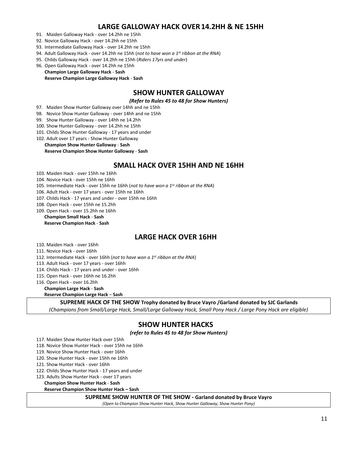#### **LARGE GALLOWAY HACK OVER14.2HH & NE 15HH**

- 91. Maiden Galloway Hack over 14.2hh ne 15hh
- 92. Novice Galloway Hack over 14.2hh ne 15hh
- 93. Intermediate Galloway Hack over 14.2hh ne 15hh
- 94. Adult Galloway Hack over 14.2hh ne 15hh (*not to have won a 1st ribbon at the RNA*)
- 95. Childs Galloway Hack over 14.2hh ne 15hh (*Riders 17yrs and under*)
- 96. Open Galloway Hack over 14.2hh ne 15hh

#### **Champion Large Galloway Hack** - **Sash Reserve Champion Large Galloway Hack** - **Sash**

#### **SHOW HUNTER GALLOWAY**

*(Refer to Rules 45 to 48 for Show Hunters)*

- 97. Maiden Show Hunter Galloway over 14hh and ne 15hh
- 98. Novice Show Hunter Galloway over 14hh and ne 15hh
- 99. Show Hunter Galloway over 14hh ne 14.2hh
- 100. Show Hunter Galloway over 14.2hh ne 15hh
- 101. Childs Show Hunter Galloway 17 years and under
- 102. Adult over 17 years Show Hunter Galloway

#### **Champion Show Hunter Galloway** - **Sash**

#### **Reserve Champion Show Hunter Galloway** - **Sash**

#### **SMALL HACK OVER 15HH AND NE 16HH**

- 103. Maiden Hack over 15hh ne 16hh
- 104. Novice Hack over 15hh ne 16hh
- 105. Intermediate Hack over 15hh ne 16hh (*not to have won a 1st ribbon at the RNA*)
- 106. Adult Hack over 17 years over 15hh ne 16hh
- 107. Childs Hack 17 years and under over 15hh ne 16hh
- 108. Open Hack over 15hh ne 15.2hh
- 109. Open Hack over 15.2hh ne 16hh

#### **Champion Small Hack** - **Sash Reserve Champion Hack** - **Sash**

#### **LARGE HACK OVER 16HH**

110. Maiden Hack - over 16hh

- 111. Novice Hack over 16hh
- 112. Intermediate Hack over 16hh (*not to have won a 1st ribbon at the RNA*)
- 113. Adult Hack over 17 years over 16hh
- 114. Childs Hack 17 years and under over 16hh
- 115. Open Hack over 16hh ne 16.2hh
- 116. Open Hack over 16.2hh
	- **Champion Large Hack Sash**

#### **Reserve Champion Large Hack** – **Sash**

#### **SUPREME HACK OF THE SHOW Trophy donated by Bruce Vayro /Garland donated by SJC Garlands**

*(Champions from Small/Large Hack, Small/Large Galloway Hack, Small Pony Hack / Large Pony Hack are eligible)*

#### **SHOW HUNTER HACKS**

*(refer to Rules 45 to 48 for Show Hunters)*

- 117. Maiden Show Hunter Hack over 15hh
- 118. Novice Show Hunter Hack over 15hh ne 16hh
- 119. Novice Show Hunter Hack over 16hh
- 120. Show Hunter Hack over 15hh ne 16hh
- 121. Show Hunter Hack over 16hh
- 122. Childs Show Hunter Hack 17 years and under
- 123. Adults Show Hunter Hack over 17 years

**Champion Show Hunter Hack** - **Sash**

**Reserve Champion Show Hunter Hack – Sash**

**SUPREME SHOW HUNTER OF THE SHOW - Garland donated by Bruce Vayro**

*(Open to Champion Show Hunter Hack, Show Hunter Galloway, Show Hunter Pony)*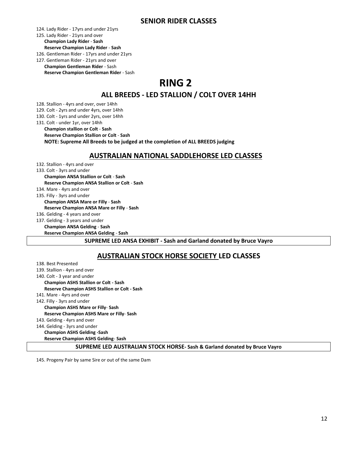124. Lady Rider - 17yrs and under 21yrs

#### 125. Lady Rider - 21yrs and over **Champion Lady Rider** - **Sash**

#### **Reserve Champion Lady Rider** - **Sash**

126. Gentleman Rider - 17yrs and under 21yrs

127. Gentleman Rider - 21yrs and over **Champion Gentleman Rider** - Sash **Reserve Champion Gentleman Rider** - Sash

## **RING 2**

#### **ALL BREEDS - LED STALLION / COLT OVER 14HH**

128. Stallion - 4yrs and over, over 14hh

129. Colt - 2yrs and under 4yrs, over 14hh

130. Colt - 1yrs and under 2yrs, over 14hh

131. Colt - under 1yr, over 14hh

**Champion stallion or Colt** - **Sash**

**Reserve Champion Stallion or Colt** - **Sash**

**NOTE: Supreme All Breeds to be judged at the completion of ALL BREEDS judging**

#### **AUSTRALIAN NATIONAL SADDLEHORSE LED CLASSES**

132. Stallion - 4yrs and over 133. Colt - 3yrs and under **Champion ANSA Stallion or Colt** - **Sash Reserve Champion ANSA Stallion or Colt** - **Sash** 134. Mare - 4yrs and over 135. Filly - 3yrs and under **Champion ANSA Mare or Filly** - **Sash Reserve Champion ANSA Mare or Filly** - **Sash** 136. Gelding - 4 years and over 137. Gelding - 3 years and under **Champion ANSA Gelding** - **Sash Reserve Champion ANSA Gelding** - **Sash**

#### **SUPREME LED ANSA EXHIBIT - Sash and Garland donated by Bruce Vayro**

#### **AUSTRALIAN STOCK HORSE SOCIETY LED CLASSES**

138. Best Presented 139. Stallion - 4yrs and over 140. Colt - 3 year and under **Champion ASHS Stallion or Colt - Sash Reserve Champion ASHS Stallion or Colt - Sash** 141. Mare - 4yrs and over 142. Filly - 3yrs and under **Champion ASHS Mare or Filly**- **Sash Reserve Champion ASHS Mare or Filly**- **Sash** 143. Gelding - 4yrs and over 144. Gelding - 3yrs and under **Champion ASHS Gelding -Sash Reserve Champion ASHS Gelding**- **Sash**

**SUPREME LED AUSTRALIAN STOCK HORSE- Sash & Garland donated by Bruce Vayro**

145. Progeny Pair by same Sire or out of the same Dam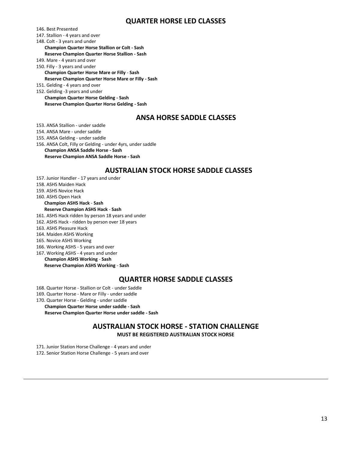#### **QUARTER HORSE LED CLASSES**

146. Best Presented

- 147. Stallion 4 years and over
- 148. Colt 3 years and under

**Champion Quarter Horse Stallion or Colt - Sash Reserve Champion Quarter Horse Stallion - Sash**

- 149. Mare 4 years and over
- 150. Filly 3 years and under

**Champion Quarter Horse Mare or Filly** - **Sash Reserve Champion Quarter Horse Mare or Filly - Sash**

151. Gelding - 4 years and over

152. Gelding -3 years and under **Champion Quarter Horse Gelding - Sash Reserve Champion Quarter Horse Gelding - Sash**

#### **ANSA HORSE SADDLE CLASSES**

153. ANSA Stallion - under saddle

154. ANSA Mare - under saddle

155. ANSA Gelding - under saddle

156. ANSA Colt, Filly or Gelding - under 4yrs, under saddle

**Champion ANSA Saddle Horse - Sash**

**Reserve Champion ANSA Saddle Horse - Sash**

#### **AUSTRALIAN STOCK HORSE SADDLE CLASSES**

- 157. Junior Handler 17 years and under
- 158. ASHS Maiden Hack
- 159. ASHS Novice Hack

160. ASHS Open Hack

#### **Champion ASHS Hack** - **Sash Reserve Champion ASHS Hack** - **Sash**

- 161. ASHS Hack ridden by person 18 years and under
- 162. ASHS Hack ridden by person over 18 years
- 163. ASHS Pleasure Hack
- 164. Maiden ASHS Working
- 165. Novice ASHS Working
- 166. Working ASHS 5 years and over
- 167. Working ASHS 4 years and under
- **Champion ASHS Working Sash**

**Reserve Champion ASHS Working** - **Sash**

#### **QUARTER HORSE SADDLE CLASSES**

168. Quarter Horse - Stallion or Colt - under Saddle

- 169. Quarter Horse Mare or Filly under saddle
- 170. Quarter Horse Gelding under saddle

**Champion Quarter Horse under saddle - Sash Reserve Champion Quarter Horse under saddle - Sash**

#### **AUSTRALIAN STOCK HORSE - STATION CHALLENGE**

**MUST BE REGISTERED AUSTRALIAN STOCK HORSE**

171. Junior Station Horse Challenge - 4 years and under

172. Senior Station Horse Challenge - 5 years and over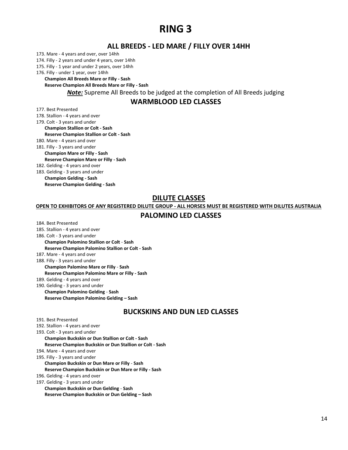## **RING 3**

#### **ALL BREEDS - LED MARE / FILLY OVER 14HH**

173. Mare - 4 years and over, over 14hh

174. Filly - 2 years and under 4 years, over 14hh

175. Filly - 1 year and under 2 years, over 14hh

176. Filly - under 1 year, over 14hh

**Champion All Breeds Mare or Filly - Sash Reserve Champion All Breeds Mare or Filly - Sash**

*Note:* Supreme All Breeds to be judged at the completion of All Breeds judging

#### **WARMBLOOD LED CLASSES**

177. Best Presented

- 178. Stallion 4 years and over
- 179. Colt 3 years and under

**Champion Stallion or Colt - Sash Reserve Champion Stallion or Colt - Sash**

180. Mare - 4 years and over

181. Filly - 3 years and under

**Champion Mare or Filly - Sash**

**Reserve Champion Mare or Filly - Sash**

182. Gelding - 4 years and over

183. Gelding - 3 years and under

**Champion Gelding - Sash Reserve Champion Gelding - Sash**

#### **DILUTE CLASSES**

**OPEN TO EXHIBITORS OF ANY REGISTERED DILUTE GROUP - ALL HORSES MUST BE REGISTERED WITH DILUTES AUSTRALIA**

#### **PALOMINO LED CLASSES**

- 184. Best Presented
- 185. Stallion 4 years and over
- 186. Colt 3 years and under

**Champion Palomino Stallion or Colt** - **Sash**

**Reserve Champion Palomino Stallion or Colt - Sash**

187. Mare - 4 years and over

188. Filly - 3 years and under **Champion Palomino Mare or Filly** - **Sash Reserve Champion Palomino Mare or Filly - Sash**

189. Gelding - 4 years and over 190. Gelding - 3 years and under

**Champion Palomino Gelding** - **Sash Reserve Champion Palomino Gelding – Sash**

#### **BUCKSKINS AND DUN LED CLASSES**

191. Best Presented

192. Stallion - 4 years and over

193. Colt - 3 years and under **Champion Buckskin or Dun Stallion or Colt - Sash Reserve Champion Buckskin or Dun Stallion or Colt - Sash** 194. Mare - 4 years and over 195. Filly - 3 years and under **Champion Buckskin or Dun Mare or Filly** - **Sash Reserve Champion Buckskin or Dun Mare or Filly - Sash** 196. Gelding - 4 years and over 197. Gelding - 3 years and under **Champion Buckskin or Dun Gelding** - **Sash**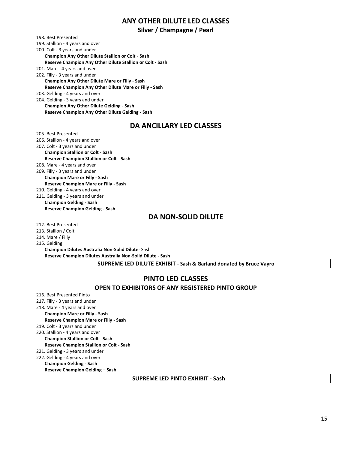#### **ANY OTHER DILUTE LED CLASSES**

#### **Silver / Champagne / Pearl**

198. Best Presented 199. Stallion - 4 years and over 200. Colt - 3 years and under **Champion Any Other Dilute Stallion or Colt** - **Sash**

**Reserve Champion Any Other Dilute Stallion or Colt - Sash**

201. Mare - 4 years and over

202. Filly - 3 years and under **Champion Any Other Dilute Mare or Filly** - **Sash Reserve Champion Any Other Dilute Mare or Filly - Sash** 203. Gelding - 4 years and over

204. Gelding - 3 years and under

**Champion Any Other Dilute Gelding** - **Sash Reserve Champion Any Other Dilute Gelding - Sash**

#### **DA ANCILLARY LED CLASSES**

205. Best Presented 206. Stallion - 4 years and over 207. Colt - 3 years and under **Champion Stallion or Colt** - **Sash Reserve Champion Stallion or Colt - Sash** 208. Mare - 4 years and over 209. Filly - 3 years and under **Champion Mare or Filly - Sash Reserve Champion Mare or Filly - Sash** 210. Gelding - 4 years and over 211. Gelding - 3 years and under **Champion Gelding - Sash Reserve Champion Gelding - Sash**

#### **DA NON-SOLID DILUTE**

212. Best Presented

213. Stallion / Colt

214. Mare / Filly

215. Gelding

**Champion Dilutes Australia Non-Solid Dilute**- Sash **Reserve Champion Dilutes Australia Non-Solid Dilute - Sash**

**SUPREME LED DILUTE EXHIBIT - Sash & Garland donated by Bruce Vayro**

#### **PINTO LED CLASSES**

#### **OPEN TO EXHIBITORS OF ANY REGISTERED PINTO GROUP**

- 216. Best Presented Pinto
- 217. Filly 3 years and under
- 218. Mare 4 years and over

**Champion Mare or Filly - Sash**

**Reserve Champion Mare or Filly - Sash**

- 219. Colt 3 years and under 220. Stallion - 4 years and over
	- **Champion Stallion or Colt - Sash Reserve Champion Stallion or Colt - Sash**
- 221. Gelding 3 years and under
- 222. Gelding 4 years and over **Champion Gelding - Sash Reserve Champion Gelding – Sash**

#### **SUPREME LED PINTO EXHIBIT - Sash**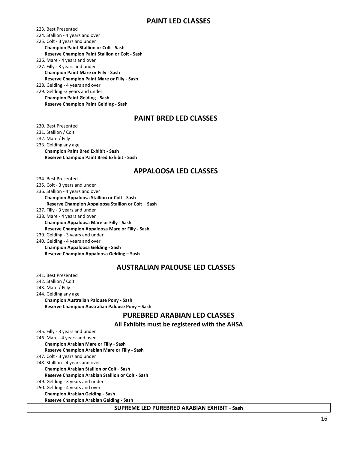#### **PAINT LED CLASSES**

223. Best Presented

224. Stallion - 4 years and over

225. Colt - 3 years and under

**Champion Paint Stallion or Colt - Sash Reserve Champion Paint Stallion or Colt - Sash**

226. Mare - 4 years and over

227. Filly - 3 years and under

**Champion Paint Mare or Filly** - **Sash Reserve Champion Paint Mare or Filly - Sash**

228. Gelding - 4 years and over

229. Gelding -3 years and under **Champion Paint Gelding - Sash Reserve Champion Paint Gelding - Sash**

#### **PAINT BRED LED CLASSES**

230. Best Presented

231. Stallion / Colt

232. Mare / Filly

233. Gelding any age **Champion Paint Bred Exhibit - Sash Reserve Champion Paint Bred Exhibit - Sash**

#### **APPALOOSA LED CLASSES**

234. Best Presented 235. Colt - 3 years and under

236. Stallion - 4 years and over

**Champion Appaloosa Stallion or Colt** - **Sash Reserve Champion Appaloosa Stallion or Colt – Sash**

237. Filly - 3 years and under

238. Mare - 4 years and over **Champion Appaloosa Mare or Filly** - **Sash Reserve Champion Appaloosa Mare or Filly - Sash**

239. Gelding - 3 years and under

240. Gelding - 4 years and over **Champion Appaloosa Gelding - Sash Reserve Champion Appaloosa Gelding – Sash**

#### **AUSTRALIAN PALOUSE LED CLASSES**

241. Best Presented

242. Stallion / Colt

243. Mare / Filly

244. Gelding any age **Champion Australian Palouse Pony - Sash Reserve Champion Australian Palouse Pony – Sash**

#### **PUREBRED ARABIAN LED CLASSES**

**All Exhibits must be registered with the AHSA**

245. Filly - 3 years and under 246. Mare - 4 years and over **Champion Arabian Mare or Filly** - **Sash Reserve Champion Arabian Mare or Filly - Sash** 247. Colt - 3 years and under 248. Stallion - 4 years and over **Champion Arabian Stallion or Colt** - **Sash Reserve Champion Arabian Stallion or Colt - Sash** 249. Gelding - 3 years and under 250. Gelding - 4 years and over **Champion Arabian Gelding - Sash Reserve Champion Arabian Gelding - Sash**

**SUPREME LED PUREBRED ARABIAN EXHIBIT** - **Sash**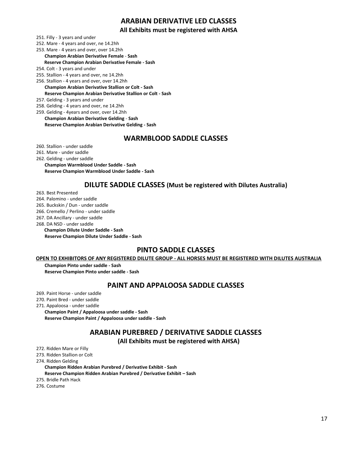#### **ARABIAN DERIVATIVE LED CLASSES**

#### **All Exhibits must be registered with AHSA**

- 251. Filly 3 years and under
- 252. Mare 4 years and over, ne 14.2hh
- 253. Mare 4 years and over, over 14.2hh **Champion Arabian Derivative Female** - **Sash Reserve Champion Arabian Derivative Female - Sash**
- 254. Colt 3 years and under
- 255. Stallion 4 years and over, ne 14.2hh
- 256. Stallion 4 years and over, over 14.2hh **Champion Arabian Derivative Stallion or Colt - Sash Reserve Champion Arabian Derivative Stallion or Colt - Sash**
- 257. Gelding 3 years and under
- 258. Gelding 4 years and over, ne 14.2hh
- 259. Gelding 4years and over, over 14.2hh **Champion Arabian Derivative Gelding** - **Sash Reserve Champion Arabian Derivative Gelding - Sash**

#### **WARMBLOOD SADDLE CLASSES**

- 260. Stallion under saddle
- 261. Mare under saddle

#### 262. Gelding - under saddle

**Champion Warmblood Under Saddle - Sash Reserve Champion Warmblood Under Saddle - Sash**

#### **DILUTE SADDLE CLASSES (Must be registered with Dilutes Australia)**

263. Best Presented

- 264. Palomino under saddle
- 265. Buckskin / Dun under saddle
- 266. Cremello / Perlino under saddle
- 267. DA Ancillary under saddle
- 268. DA NSD under saddle
	- **Champion Dilute Under Saddle - Sash**
	- **Reserve Champion Dilute Under Saddle - Sash**

#### **PINTO SADDLE CLASSES**

#### **OPEN TO EXHIBITORS OF ANY REGISTERED DILUTE GROUP - ALL HORSES MUST BE REGISTERED WITH DILUTES AUSTRALIA**

**Champion Pinto under saddle - Sash Reserve Champion Pinto under saddle - Sash**

#### **PAINT AND APPALOOSA SADDLE CLASSES**

- 269. Paint Horse under saddle
- 270. Paint Bred under saddle
- 271. Appaloosa under saddle
	- **Champion Paint / Appaloosa under saddle - Sash Reserve Champion Paint / Appaloosa under saddle - Sash**

#### **ARABIAN PUREBRED / DERIVATIVE SADDLE CLASSES**

#### **(All Exhibits must be registered with AHSA)**

272. Ridden Mare or Filly

273. Ridden Stallion or Colt

274. Ridden Gelding

**Champion Ridden Arabian Purebred / Derivative Exhibit - Sash**

**Reserve Champion Ridden Arabian Purebred / Derivative Exhibit – Sash**

275. Bridle Path Hack

276. Costume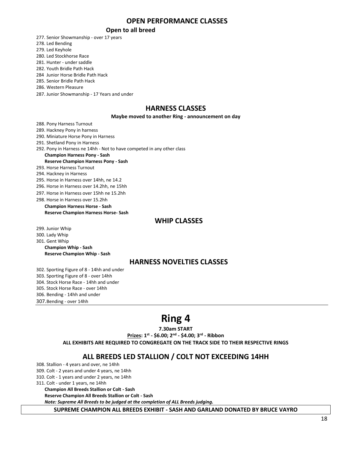#### **OPEN PERFORMANCE CLASSES**

#### **Open to all breed**

277. Senior Showmanship - over 17 years 278. Led Bending 279. Led Keyhole 280. Led Stockhorse Race 281. Hunter - under saddle 282. Youth Bridle Path Hack 284 Junior Horse Bridle Path Hack 285. Senior Bridle Path Hack 286. Western Pleasure 287. Junior Showmanship - 17 Years and under

#### **HARNESS CLASSES**

#### **Maybe moved to another Ring - announcement on day**

288. Pony Harness Turnout

289. Hackney Pony in harness 290. Miniature Horse Pony in Harness 291. Shetland Pony in Harness 292. Pony in Harness ne 14hh - Not to have competed in any other class **Champion Harness Pony - Sash Reserve Champion Harness Pony - Sash** 293. Horse Harness Turnout 294. Hackney in Harness 295. Horse in Harness over 14hh, ne 14.2 296. Horse in Harness over 14.2hh, ne 15hh 297. Horse in Harness over 15hh ne 15.2hh 298. Horse in Harness over 15.2hh

**Champion Harness Horse - Sash Reserve Champion Harness Horse- Sash**

#### **WHIP CLASSES**

299. Junior Whip

300. Lady Whip

301. Gent Whip **Champion Whip - Sash Reserve Champion Whip - Sash**

#### **HARNESS NOVELTIES CLASSES**

302. Sporting Figure of 8 - 14hh and under 303. Sporting Figure of 8 - over 14hh 304. Stock Horse Race - 14hh and under 305. Stock Horse Race - over 14hh 306. Bending - 14hh and under 307.Bending - over 14hh

## **Ring 4**

**7.30am START**

**Prizes: 1st - \$6.00; 2nd - \$4.00; 3rd - Ribbon**

**ALL EXHIBITS ARE REQUIRED TO CONGREGATE ON THE TRACK SIDE TO THEIR RESPECTIVE RINGS**

#### **ALL BREEDS LED STALLION / COLT NOT EXCEEDING 14HH**

308. Stallion - 4 years and over, ne 14hh

- 309. Colt 2 years and under 4 years, ne 14hh
- 310. Colt 1 years and under 2 years, ne 14hh

311. Colt - under 1 years, ne 14hh

**Champion All Breeds Stallion or Colt - Sash**

**Reserve Champion All Breeds Stallion or Colt - Sash**

*Note: Supreme All Breeds to be judged at the completion of ALL Breeds judging.*

**SUPREME CHAMPION ALL BREEDS EXHIBIT - SASH AND GARLAND DONATED BY BRUCE VAYRO**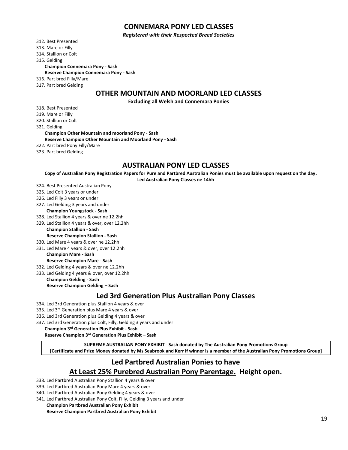#### **CONNEMARA PONY LED CLASSES**

*Registered with their Respected Breed Societies*

312. Best Presented

313. Mare or Filly

314. Stallion or Colt

315. Gelding

**Champion Connemara Pony - Sash**

**Reserve Champion Connemara Pony - Sash**

316. Part bred Filly/Mare

317. Part bred Gelding

#### **OTHER MOUNTAIN AND MOORLAND LED CLASSES**

**Excluding all Welsh and Connemara Ponies**

- 318. Best Presented
- 319. Mare or Filly
- 320. Stallion or Colt

321. Gelding

**Champion Other Mountain and moorland Pony** - **Sash Reserve Champion Other Mountain and Moorland Pony - Sash**

- 322. Part bred Pony Filly/Mare
- 323. Part bred Gelding

#### **AUSTRALIAN PONY LED CLASSES**

**Copy of Australian Pony Registration Papers for Pure and Partbred Australian Ponies must be available upon request on the day.**

**Led Australian Pony Classes ne 14hh**

- 324. Best Presented Australian Pony
- 325. Led Colt 3 years or under
- 326. Led Filly 3 years or under
- 327. Led Gelding 3 years and under **Champion Youngstock - Sash**
- 328. Led Stallion 4 years & over ne 12.2hh
- 329. Led Stallion 4 years & over, over 12.2hh
- **Champion Stallion - Sash Reserve Champion Stallion - Sash**
- 330. Led Mare 4 years & over ne 12.2hh 331. Led Mare 4 years & over, over 12.2hh

**Champion Mare - Sash**

**Reserve Champion Mare - Sash**

- 332. Led Gelding 4 years & over ne 12.2hh
- 333. Led Gelding 4 years & over, over 12.2hh

**Champion Gelding - Sash Reserve Champion Gelding – Sash**

#### **Led 3rd Generation Plus Australian Pony Classes**

- 334. Led 3rd Generation plus Stallion 4 years & over
- 335. Led 3rd Generation plus Mare 4 years & over
- 336. Led 3rd Generation plus Gelding 4 years & over
- 337. Led 3rd Generation plus Colt, Filly, Gelding 3 years and under

**Champion 3rd Generation Plus Exhibit - Sash**

**Reserve Champion 3rd Generation Plus Exhibit – Sash**

**SUPREME AUSTRALIAN PONY EXHIBIT - Sash donated by The Australian Pony Promotions Group [Certificate and Prize Money donated by Ms Seabrook and Kerr if winner is a member of the Australian Pony Promotions Group]**

#### **Led Partbred Australian Ponies to have At Least 25% Purebred Australian Pony Parentage. Height open.**

- 338. Led Partbred Australian Pony Stallion 4 years & over
- 339. Led Partbred Australian Pony Mare 4 years & over
- 340. Led Partbred Australian Pony Gelding 4 years & over
- 341. Led Partbred Australian Pony Colt, Filly, Gelding 3 years and under

#### **Champion Partbred Australian Pony Exhibit**

**Reserve Champion Partbred Australian Pony Exhibit**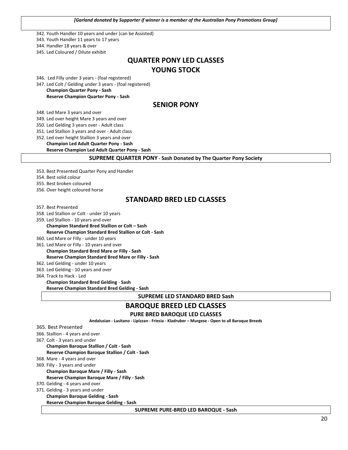*[Garland donated by Supporter if winner is a member of the Australian Pony Promotions Group]*

342. Youth Handler 10 years and under (can be Assisted)

343. Youth Handler 11 years to 17 years

344. Handler 18 years & over

345. Led Coloured / Dilute exhibit

#### **QUARTER PONY LED CLASSES YOUNG STOCK**

346. Led Filly under 3 years - (foal registered)

347. Led Colt / Gelding under 3 years - (foal registered)

**Champion Quarter Pony - Sash Reserve Champion Quarter Pony - Sash**

#### **SENIOR PONY**

348. Led Mare 3 years and over

349. Led over height Mare 3 years and over

350. Led Gelding 3 years over - Adult class

351. Led Stallion 3 years and over - Adult class

352. Led over height Stallion 3 years and over

**Champion Led Adult Quarter Pony - Sash** 

**Reserve Champion Led Adult Quarter Pony - Sash**

**SUPREME QUARTER PONY - Sash Donated by The Quarter Pony Society**

353. Best Presented Quarter Pony and Handler

354. Best solid colour

355. Best broken coloured

356. Over height coloured horse

#### **STANDARD BRED LED CLASSES**

357. Best Presented

- 358. Led Stallion or Colt under 10 years
- 359. Led Stallion 10 years and over **Champion Standard Bred Stallion or Colt – Sash**

**Reserve Champion Standard Bred Stallion or Colt - Sash**

360. Led Mare or Filly - under 10 years

361. Led Mare or Filly - 10 years and over

- **Champion Standard Bred Mare or Filly - Sash Reserve Champion Standard Bred Mare or Filly - Sash**
- 362. Led Gelding under 10 years
- 363. Led Gelding 10 years and over

364. Track to Hack - Led

**Champion Standard Bred Gelding** - **Sash**

**Reserve Champion Standard Bred Gelding - Sash**

**SUPREME LED STANDARD BRED Sash**

## **BAROQUE BREED LED CLASSES**

**PURE BRED BAROQUE LED CLASSES**

**Andalusian - Lusitano - Lipizzan - Friesia - Kladruber – Murgese - Open to all Baroque Breeds**

#### 365. Best Presented

- 366. Stallion 4 years and over
- 367. Colt 3 years and under

**Champion Baroque Stallion / Colt - Sash**

**Reserve Champion Baroque Stallion / Colt - Sash**

- 368. Mare 4 years and over
- 369. Filly 3 years and under
	- **Champion Baroque Mare / Filly - Sash**

**Reserve Champion Baroque Mare / Filly - Sash**

370. Gelding - 4 years and over

371. Gelding - 3 years and under

**Champion Baroque Gelding - Sash Reserve Champion Baroque Gelding - Sash**

**SUPREME PURE-BRED LED BAROQUE - Sash**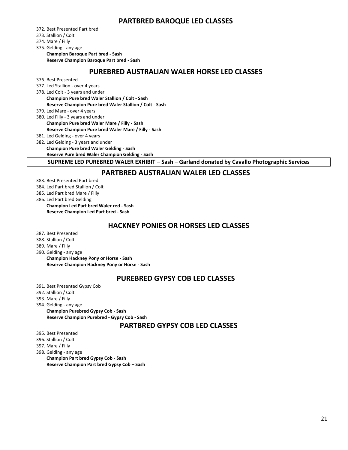#### **PARTBRED BAROQUE LED CLASSES**

372. Best Presented Part bred

- 373. Stallion / Colt
- 374. Mare / Filly

375. Gelding - any age

**Champion Baroque Part bred - Sash Reserve Champion Baroque Part bred - Sash**

#### **PUREBRED AUSTRALIAN WALER HORSE LED CLASSES**

- 376. Best Presented
- 377. Led Stallion over 4 years
- 378. Led Colt 3 years and under **Champion Pure bred Waler Stallion / Colt - Sash**

**Reserve Champion Pure bred Waler Stallion / Colt - Sash**

- 379. Led Mare over 4 years
- 380. Led Filly 3 years and under **Champion Pure bred Waler Mare / Filly - Sash Reserve Champion Pure bred Waler Mare / Filly - Sash**
- 381. Led Gelding over 4 years
- 382. Led Gelding 3 years and under
	- **Champion Pure bred Waler Gelding - Sash**

**Reserve Pure bred Waler Champion Gelding - Sash**

**SUPREME LED PUREBRED WALER EXHIBIT – Sash – Garland donated by Cavallo Photographic Services**

#### **PARTBRED AUSTRALIAN WALER LED CLASSES**

- 383. Best Presented Part bred
- 384. Led Part bred Stallion / Colt
- 385. Led Part bred Mare / Filly

386. Led Part bred Gelding **Champion Led Part bred Waler red - Sash Reserve Champion Led Part bred - Sash**

#### **HACKNEY PONIES OR HORSES LED CLASSES**

- 387. Best Presented
- 388. Stallion / Colt
- 389. Mare / Filly
- 390. Gelding any age

**Champion Hackney Pony or Horse - Sash**

**Reserve Champion Hackney Pony or Horse - Sash**

#### **PUREBRED GYPSY COB LED CLASSES**

- 391. Best Presented Gypsy Cob
- 392. Stallion / Colt
- 393. Mare / Filly
- 394. Gelding any age
	- **Champion Purebred Gypsy Cob - Sash Reserve Champion Purebred - Gypsy Cob - Sash**

#### **PARTBRED GYPSY COB LED CLASSES**

395. Best Presented

- 396. Stallion / Colt
- 397. Mare / Filly
- 398. Gelding any age
	- **Champion Part bred Gypsy Cob - Sash Reserve Champion Part bred Gypsy Cob – Sash**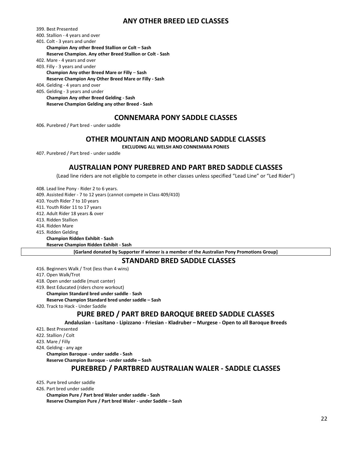#### **ANY OTHER BREED LED CLASSES**

399. Best Presented

- 400. Stallion 4 years and over
- 401. Colt 3 years and under **Champion Any other Breed Stallion or Colt – Sash**

**Reserve Champion. Any other Breed Stallion or Colt - Sash**

- 402. Mare 4 years and over
- 403. Filly 3 years and under **Champion Any other Breed Mare or Filly** – **Sash Reserve Champion Any Other Breed Mare or Filly - Sash**
- 404. Gelding 4 years and over
- 405. Gelding 3 years and under **Champion Any other Breed Gelding - Sash Reserve Champion Gelding any other Breed - Sash**

#### **CONNEMARA PONY SADDLE CLASSES**

406. Purebred / Part bred - under saddle

#### **OTHER MOUNTAIN AND MOORLAND SADDLE CLASSES**

**EXCLUDING ALL WELSH AND CONNEMARA PONIES**

407. Purebred / Part bred - under saddle

#### **AUSTRALIAN PONY PUREBRED AND PART BRED SADDLE CLASSES**

(Lead line riders are not eligible to compete in other classes unless specified "Lead Line" or "Led Rider")

408. Lead line Pony - Rider 2 to 6 years.

409. Assisted Rider - 7 to 12 years (cannot compete in Class 409/410)

410. Youth Rider 7 to 10 years

411. Youth Rider 11 to 17 years

412. Adult Rider 18 years & over

413. Ridden Stallion

414. Ridden Mare

415. Ridden Gelding

**Champion Ridden Exhibit - Sash**

**Reserve Champion Ridden Exhibit - Sash**

**[Garland donated by Supporter if winner is a member of the Australian Pony Promotions Group]**

#### **STANDARD BRED SADDLE CLASSES**

416. Beginners Walk / Trot (less than 4 wins)

417. Open Walk/Trot

418. Open under saddle (must canter)

419. Best Educated (riders chore workout)

**Champion Standard bred under saddle** - **Sash**

**Reserve Champion Standard bred under saddle – Sash**

420. Track to Hack - Under Saddle

#### **PURE BRED / PART BRED BAROQUE BREED SADDLE CLASSES**

**Andalusian - Lusitano - Lipizzano - Friesian - Kladruber – Murgese - Open to all Baroque Breeds**

421. Best Presented

422. Stallion / Colt

423. Mare / Filly

424. Gelding - any age

**Champion Baroque - under saddle - Sash**

**Reserve Champion Baroque - under saddle – Sash**

#### **PUREBRED / PARTBRED AUSTRALIAN WALER - SADDLE CLASSES**

425. Pure bred under saddle

426. Part bred under saddle

**Champion Pure / Part bred Waler under saddle - Sash Reserve Champion Pure / Part bred Waler - under Saddle – Sash**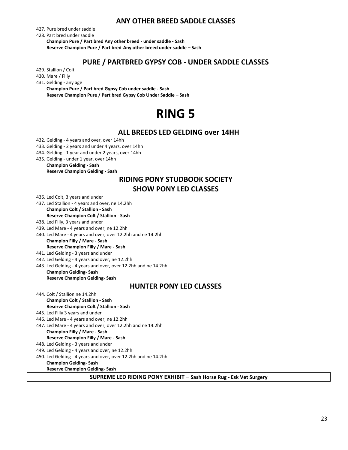#### **ANY OTHER BREED SADDLE CLASSES**

427. Pure bred under saddle

428. Part bred under saddle

**Champion Pure / Part bred Any other breed - under saddle - Sash Reserve Champion Pure / Part bred-Any other breed under saddle – Sash**

#### **PURE / PARTBRED GYPSY COB - UNDER SADDLE CLASSES**

429. Stallion / Colt

430. Mare / Filly

431. Gelding - any age

**Champion Pure / Part bred Gypsy Cob under saddle - Sash Reserve Champion Pure / Part bred Gypsy Cob Under Saddle – Sash**

## **RING 5**

#### **ALL BREEDS LED GELDING over 14HH**

- 432. Gelding 4 years and over, over 14hh
- 433. Gelding 2 years and under 4 years, over 14hh
- 434. Gelding 1 year and under 2 years, over 14hh
- 435. Gelding under 1 year, over 14hh

#### **Champion Gelding - Sash Reserve Champion Gelding - Sash**

#### **RIDING PONY STUDBOOK SOCIETY SHOW PONY LED CLASSES**

436. Led Colt, 3 years and under

437. Led Stallion - 4 years and over, ne 14.2hh **Champion Colt / Stallion - Sash**

#### **Reserve Champion Colt / Stallion - Sash**

- 438. Led Filly, 3 years and under
- 439. Led Mare 4 years and over, ne 12.2hh
- 440. Led Mare 4 years and over, over 12.2hh and ne 14.2hh **Champion Filly / Mare - Sash**

#### **Reserve Champion Filly / Mare - Sash**

- 441. Led Gelding 3 years and under
- 442. Led Gelding 4 years and over, ne 12.2hh
- 443. Led Gelding 4 years and over, over 12.2hh and ne 14.2hh

**Champion Gelding- Sash Reserve Champion Gelding- Sash**

#### **HUNTER PONY LED CLASSES**

- 444. Colt / Stallion ne 14.2hh **Champion Colt / Stallion - Sash Reserve Champion Colt / Stallion - Sash**
- 445. Led Filly 3 years and under
- 446. Led Mare 4 years and over, ne 12.2hh
- 447. Led Mare 4 years and over, over 12.2hh and ne 14.2hh
- **Champion Filly / Mare - Sash Reserve Champion Filly / Mare - Sash**
- 448. Led Gelding 3 years and under
- 449. Led Gelding 4 years and over, ne 12.2hh
- 450. Led Gelding 4 years and over, over 12.2hh and ne 14.2hh
	- **Champion Gelding- Sash Reserve Champion Gelding- Sash**
		- **SUPREME LED RIDING PONY EXHIBIT Sash Horse Rug - Esk Vet Surgery**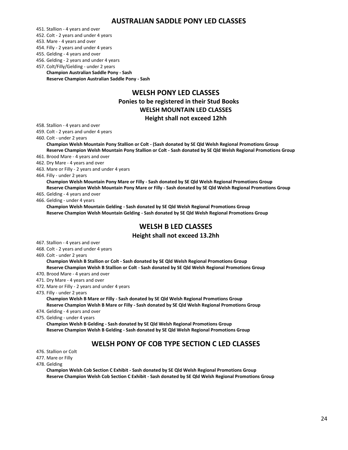#### **AUSTRALIAN SADDLE PONY LED CLASSES**

451. Stallion - 4 years and over

452. Colt - 2 years and under 4 years

453. Mare - 4 years and over

454. Filly - 2 years and under 4 years

455. Gelding - 4 years and over

456. Gelding - 2 years and under 4 years

457. Colt/Filly/Gelding - under 2 years

**Champion Australian Saddle Pony - Sash Reserve Champion Australian Saddle Pony - Sash**

#### **WELSH PONY LED CLASSES Ponies to be registered in their Stud Books WELSH MOUNTAIN LED CLASSES Height shall not exceed 12hh**

458. Stallion - 4 years and over

459. Colt - 2 years and under 4 years

460. Colt - under 2 years

**Champion Welsh Mountain Pony Stallion or Colt - (Sash donated by SE Qld Welsh Regional Promotions Group Reserve Champion Welsh Mountain Pony Stallion or Colt - Sash donated by SE Qld Welsh Regional Promotions Group**

461. Brood Mare - 4 years and over

462. Dry Mare - 4 years and over

463. Mare or Filly - 2 years and under 4 years

464. Filly - under 2 years

**Champion Welsh Mountain Pony Mare or Filly - Sash donated by SE Qld Welsh Regional Promotions Group Reserve Champion Welsh Mountain Pony Mare or Filly - Sash donated by SE Qld Welsh Regional Promotions Group**

465. Gelding - 4 years and over

466. Gelding - under 4 years

**Champion Welsh Mountain Gelding - Sash donated by SE Qld Welsh Regional Promotions Group Reserve Champion Welsh Mountain Gelding - Sash donated by SE Qld Welsh Regional Promotions Group**

#### **WELSH B LED CLASSES**

#### **Height shall not exceed 13.2hh**

- 467. Stallion 4 years and over
- 468. Colt 2 years and under 4 years

469. Colt - under 2 years

**Champion Welsh B Stallion or Colt - Sash donated by SE Qld Welsh Regional Promotions Group Reserve Champion Welsh B Stallion or Colt - Sash donated by SE Qld Welsh Regional Promotions Group**

470. Brood Mare - 4 years and over

471. Dry Mare - 4 years and over

472. Mare or Filly - 2 years and under 4 years

473. Filly - under 2 years

**Champion Welsh B Mare or Filly - Sash donated by SE Qld Welsh Regional Promotions Group Reserve Champion Welsh B Mare or Filly - Sash donated by SE Qld Welsh Regional Promotions Group**

474. Gelding - 4 years and over

475. Gelding - under 4 years

**Champion Welsh B Gelding - Sash donated by SE Qld Welsh Regional Promotions Group Reserve Champion Welsh B Gelding - Sash donated by SE Qld Welsh Regional Promotions Group**

#### **WELSH PONY OF COB TYPE SECTION C LED CLASSES**

476. Stallion or Colt

477. Mare or Filly

478. Gelding

**Champion Welsh Cob Section C Exhibit - Sash donated by SE Qld Welsh Regional Promotions Group Reserve Champion Welsh Cob Section C Exhibit - Sash donated by SE Qld Welsh Regional Promotions Group**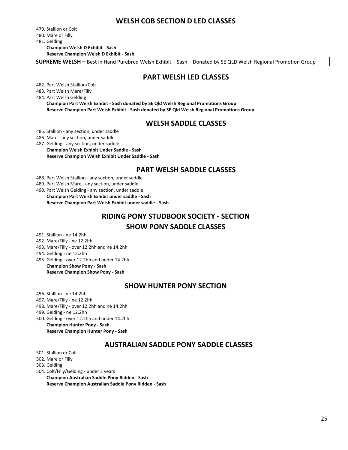#### **WELSH COB SECTION D LED CLASSES**

479. Stallion or Colt 480. Mare or Filly 481. Gelding

**Champion Welsh D Exhibit - Sash**

**Reserve Champion Welsh D Exhibit - Sash**

**SUPREME WELSH –** Best in Hand Purebred Welsh Exhibit – Sash – Donated by SE QLD Welsh Regional Promotion Group

#### **PART WELSH LED CLASSES**

482. Part Welsh Stallion/Colt

483. Part Welsh Mare/Filly

484. Part Welsh Gelding

**Champion Part Welsh Exhibit - Sash donated by SE Qld Welsh Regional Promotions Group Reserve Champion Part Welsh Exhibit - Sash donated by SE Qld Welsh Regional Promotions Group**

#### **WELSH SADDLE CLASSES**

485. Stallion - any section, under saddle

486. Mare - any section, under saddle

487. Gelding - any section, under saddle **Champion Welsh Exhibit Under Saddle - Sash Reserve Champion Welsh Exhibit Under Saddle - Sash** 

#### **PART WELSH SADDLE CLASSES**

488. Part Welsh Stallion - any section, under saddle

489. Part Welsh Mare - any section, under saddle

490. Part Welsh Gelding - any section, under saddle

**Champion Part Welsh Exhibit under saddle - Sash Reserve Champion Part Welsh Exhibit under saddle - Sash**

#### **RIDING PONY STUDBOOK SOCIETY - SECTION SHOW PONY SADDLE CLASSES**

491. Stallion - ne 14.2hh

492. Mare/Filly - ne 12.2hh

493. Mare/Filly - over 12.2hh and ne 14.2hh

494. Gelding - ne 12.2hh

495. Gelding - over 12.2hh and under 14.2hh

**Champion Show Pony - Sash Reserve Champion Show Pony - Sash**

#### **SHOW HUNTER PONY SECTION**

496. Stallion - ne 14.2hh

497. Mare/Filly - ne 12.2hh

498. Mare/Filly - over 12.2hh and ne 14.2hh

499. Gelding - ne 12.2hh

500. Gelding - over 12.2hh and under 14.2hh **Champion Hunter Pony - Sash**

**Reserve Champion Hunter Pony - Sash**

#### **AUSTRALIAN SADDLE PONY SADDLE CLASSES**

501. Stallion or Colt

502. Mare or Filly

503. Gelding

504. Colt/Filly/Gelding - under 3 years

**Champion Australian Saddle Pony Ridden - Sash Reserve Champion Australian Saddle Pony Ridden - Sash**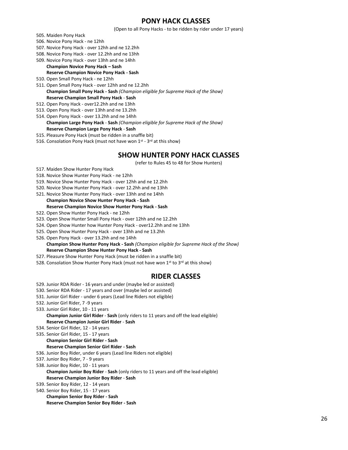#### **PONY HACK CLASSES**

(Open to all Pony Hacks - to be ridden by rider under 17 years)

- 505. Maiden Pony Hack
- 506. Novice Pony Hack ne 12hh
- 507. Novice Pony Hack over 12hh and ne 12.2hh
- 508. Novice Pony Hack over 12.2hh and ne 13hh
- 509. Novice Pony Hack over 13hh and ne 14hh

**Champion Novice Pony Hack – Sash Reserve Champion Novice Pony Hack - Sash**

- 510. Open Small Pony Hack ne 12hh
- 511. Open Small Pony Hack over 12hh and ne 12.2hh **Champion Small Pony Hack - Sash** *(Champion eligible for Supreme Hack of the Show)* **Reserve Champion Small Pony Hack** - **Sash**
- 512. Open Pony Hack over12.2hh and ne 13hh
- 513. Open Pony Hack over 13hh and ne 13.2hh
- 514. Open Pony Hack over 13.2hh and ne 14hh **Champion Large Pony Hack** - **Sash** *(Champion eligible for Supreme Hack of the Show)* **Reserve Champion Large Pony Hack** - **Sash**
- 515. Pleasure Pony Hack (must be ridden in a snaffle bit)
- 516. Consolation Pony Hack (must not have won 1<sup>st</sup> 3<sup>rd</sup> at this show)

#### **SHOW HUNTER PONY HACK CLASSES**

(refer to Rules 45 to 48 for Show Hunters)

- 517. Maiden Show Hunter Pony Hack
- 518. Novice Show Hunter Pony Hack ne 12hh
- 519. Novice Show Hunter Pony Hack over 12hh and ne 12.2hh
- 520. Novice Show Hunter Pony Hack over 12.2hh and ne 13hh
- 521. Novice Show Hunter Pony Hack over 13hh and ne 14hh

#### **Champion Novice Show Hunter Pony Hack - Sash Reserve Champion Novice Show Hunter Pony Hack - Sash** 522. Open Show Hunter Pony Hack - ne 12hh

- 523. Open Show Hunter Small Pony Hack over 12hh and ne 12.2hh
- 524. Open Show Hunter how Hunter Pony Hack over12.2hh and ne 13hh
- 525. Open Show Hunter Pony Hack over 13hh and ne 13.2hh
- 526. Open Pony Hack over 13.2hh and ne 14hh
	- **Champion Show Hunter Pony Hack - Sash** *(Champion eligible for Supreme Hack of the Show)* **Reserve Champion Show Hunter Pony Hack - Sash**
- 527. Pleasure Show Hunter Pony Hack (must be ridden in a snaffle bit)
- 528. Consolation Show Hunter Pony Hack (must not have won 1st to 3<sup>rd</sup> at this show)

#### **RIDER CLASSES**

- 529. Junior RDA Rider 16 years and under (maybe led or assisted)
- 530. Senior RDA Rider 17 years and over (maybe led or assisted)
- 531. Junior Girl Rider under 6 years (Lead line Riders not eligible)
- 532. Junior Girl Rider, 7 -9 years
- 533. Junior Girl Rider, 10 11 years **Champion Junior Girl Rider** - **Sash** (only riders to 11 years and off the lead eligible) **Reserve Champion Junior Girl Rider** - **Sash**
- 534. Senior Girl Rider, 12 14 years
- 535. Senior Girl Rider, 15 17 years
	- **Champion Senior Girl Rider - Sash**

#### **Reserve Champion Senior Girl Rider - Sash**

- 536. Junior Boy Rider, under 6 years (Lead line Riders not eligible)
- 537. Junior Boy Rider, 7 9 years
- 538. Junior Boy Rider, 10 11 years **Champion Junior Boy Rider** - **Sash** (only riders to 11 years and off the lead eligible) **Reserve Champion Junior Boy Rider** - **Sash**
- 539. Senior Boy Rider, 12 14 years
- 540. Senior Boy Rider, 15 17 years
- **Champion Senior Boy Rider - Sash Reserve Champion Senior Boy Rider - Sash**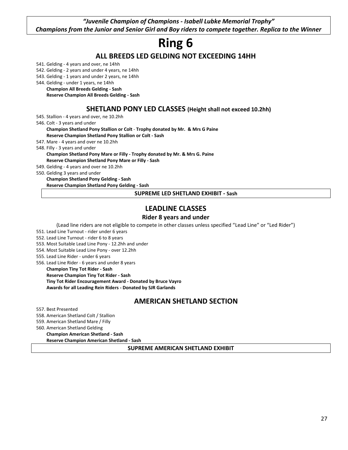*"Juvenile Champion of Champions - Isabell Lubke Memorial Trophy" Champions from the Junior and Senior Girl and Boy riders to compete together. Replica to the Winner*

## **Ring 6**

#### **ALL BREEDS LED GELDING NOT EXCEEDING 14HH**

541. Gelding - 4 years and over, ne 14hh

- 542. Gelding 2 years and under 4 years, ne 14hh
- 543. Gelding 1 years and under 2 years, ne 14hh
- 544. Gelding under 1 years, ne 14hh

**Champion All Breeds Gelding - Sash**

**Reserve Champion All Breeds Gelding - Sash**

#### **SHETLAND PONY LED CLASSES (Height shall not exceed 10.2hh)**

545. Stallion - 4 years and over, ne 10.2hh

546. Colt - 3 years and under

**Champion Shetland Pony Stallion or Colt** - **Trophy donated by Mr. & Mrs G Paine Reserve Champion Shetland Pony Stallion or Colt - Sash**

547. Mare - 4 years and over ne 10.2hh

548. Filly - 3 years and under

**Champion Shetland Pony Mare or Filly - Trophy donated by Mr. & Mrs G. Paine**

**Reserve Champion Shetland Pony Mare or Filly - Sash**

549. Gelding - 4 years and over ne 10.2hh

550. Gelding 3 years and under

**Champion Shetland Pony Gelding - Sash**

**Reserve Champion Shetland Pony Gelding - Sash**

**SUPREME LED SHETLAND EXHIBIT - Sash**

#### **LEADLINE CLASSES**

#### **Rider 8 years and under**

(Lead line riders are not eligible to compete in other classes unless specified "Lead Line" or "Led Rider")

- 551. Lead Line Turnout rider under 6 years
- 552. Lead Line Turnout rider 6 to 8 years
- 553. Most Suitable Lead Line Pony 12.2hh and under
- 554. Most Suitable Lead Line Pony over 12.2hh
- 555. Lead Line Rider under 6 years
- 556. Lead Line Rider 6 years and under 8 years

**Champion Tiny Tot Rider - Sash Reserve Champion Tiny Tot Rider - Sash Tiny Tot Rider Encouragement Award - Donated by Bruce Vayro Awards for all Leading Rein Riders - Donated by SJR Garlands**

#### **AMERICAN SHETLAND SECTION**

557. Best Presented

558. American Shetland Colt / Stallion

559. American Shetland Mare / Filly

560. American Shetland Gelding

**Champion American Shetland - Sash**

**Reserve Champion American Shetland - Sash**

**SUPREME AMERICAN SHETLAND EXHIBIT**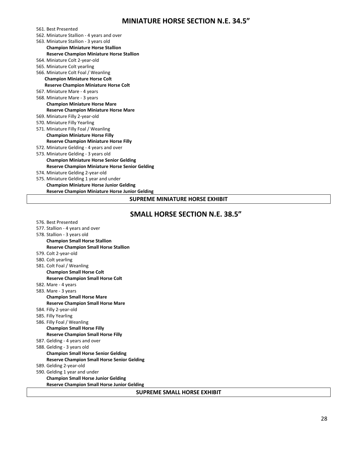#### **MINIATURE HORSE SECTION N.E. 34.5"**

561. Best Presented

- 562. Miniature Stallion 4 years and over
- 563. Miniature Stallion 3 years old
- **Champion Miniature Horse Stallion Reserve Champion Miniature Horse Stallion** 564. Miniature Colt 2-year-old
- 565. Miniature Colt yearling
- 566. Miniature Colt Foal / Weanling **Champion Miniature Horse Colt**
	- **Reserve Champion Miniature Horse Colt**
- 567. Miniature Mare 4 years 568. Miniature Mare - 3 years

#### **Champion Miniature Horse Mare Reserve Champion Miniature Horse Mare**

- 
- 569. Miniature Filly 2-year-old
- 570. Miniature Filly Yearling 571. Miniature Filly Foal / Weanling
- **Champion Miniature Horse Filly**
- **Reserve Champion Miniature Horse Filly**
- 572. Miniature Gelding 4 years and over 573. Miniature Gelding - 3 years old **Champion Miniature Horse Senior Gelding**
- **Reserve Champion Miniature Horse Senior Gelding**
- 574. Miniature Gelding 2-year-old
- 575. Miniature Gelding 1 year and under **Champion Miniature Horse Junior Gelding Reserve Champion Miniature Horse Junior Gelding**

#### **SUPREME MINIATURE HORSE EXHIBIT**

#### **SMALL HORSE SECTION N.E. 38.5"**

576. Best Presented

| 578. Stallion - 3 years old<br><b>Champion Small Horse Stallion</b><br><b>Reserve Champion Small Horse Stallion</b><br>579. Colt 2-year-old<br>580. Colt yearling<br>581. Colt Foal / Weanling<br><b>Champion Small Horse Colt</b><br><b>Reserve Champion Small Horse Colt</b><br>582. Mare - 4 years<br>583. Mare - 3 years<br><b>Champion Small Horse Mare</b><br><b>Reserve Champion Small Horse Mare</b><br>584. Filly 2-year-old<br>585. Filly Yearling<br>586. Filly Foal / Weanling<br><b>Champion Small Horse Filly</b><br><b>Reserve Champion Small Horse Filly</b> |
|------------------------------------------------------------------------------------------------------------------------------------------------------------------------------------------------------------------------------------------------------------------------------------------------------------------------------------------------------------------------------------------------------------------------------------------------------------------------------------------------------------------------------------------------------------------------------|
|                                                                                                                                                                                                                                                                                                                                                                                                                                                                                                                                                                              |
|                                                                                                                                                                                                                                                                                                                                                                                                                                                                                                                                                                              |
|                                                                                                                                                                                                                                                                                                                                                                                                                                                                                                                                                                              |
|                                                                                                                                                                                                                                                                                                                                                                                                                                                                                                                                                                              |
|                                                                                                                                                                                                                                                                                                                                                                                                                                                                                                                                                                              |
|                                                                                                                                                                                                                                                                                                                                                                                                                                                                                                                                                                              |
|                                                                                                                                                                                                                                                                                                                                                                                                                                                                                                                                                                              |
|                                                                                                                                                                                                                                                                                                                                                                                                                                                                                                                                                                              |
|                                                                                                                                                                                                                                                                                                                                                                                                                                                                                                                                                                              |
|                                                                                                                                                                                                                                                                                                                                                                                                                                                                                                                                                                              |
|                                                                                                                                                                                                                                                                                                                                                                                                                                                                                                                                                                              |
|                                                                                                                                                                                                                                                                                                                                                                                                                                                                                                                                                                              |
|                                                                                                                                                                                                                                                                                                                                                                                                                                                                                                                                                                              |
|                                                                                                                                                                                                                                                                                                                                                                                                                                                                                                                                                                              |
|                                                                                                                                                                                                                                                                                                                                                                                                                                                                                                                                                                              |
|                                                                                                                                                                                                                                                                                                                                                                                                                                                                                                                                                                              |
|                                                                                                                                                                                                                                                                                                                                                                                                                                                                                                                                                                              |
| 587. Gelding - 4 years and over                                                                                                                                                                                                                                                                                                                                                                                                                                                                                                                                              |
| 588. Gelding - 3 years old                                                                                                                                                                                                                                                                                                                                                                                                                                                                                                                                                   |
| <b>Champion Small Horse Senior Gelding</b>                                                                                                                                                                                                                                                                                                                                                                                                                                                                                                                                   |
| <b>Reserve Champion Small Horse Senior Gelding</b>                                                                                                                                                                                                                                                                                                                                                                                                                                                                                                                           |
| 589. Gelding 2-year-old                                                                                                                                                                                                                                                                                                                                                                                                                                                                                                                                                      |
| 590. Gelding 1 year and under                                                                                                                                                                                                                                                                                                                                                                                                                                                                                                                                                |
| <b>Champion Small Horse Junior Gelding</b>                                                                                                                                                                                                                                                                                                                                                                                                                                                                                                                                   |
| <b>Reserve Champion Small Horse Junior Gelding</b>                                                                                                                                                                                                                                                                                                                                                                                                                                                                                                                           |
| SUPREME SMALL HORSE EXHIBIT                                                                                                                                                                                                                                                                                                                                                                                                                                                                                                                                                  |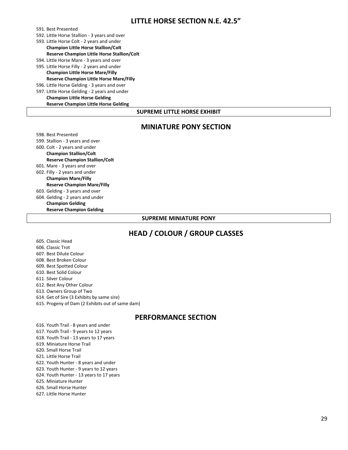#### **LITTLE HORSE SECTION N.E. 42.5"**

591. Best Presented

592. Little Horse Stallion - 3 years and over

593. Little Horse Colt - 2 years and under

**Champion Little Horse Stallion/Colt Reserve Champion Little Horse Stallion/Colt**

- 594. Little Horse Mare 3 years and over
- 595. Little Horse Filly 2 years and under **Champion Little Horse Mare/Filly Reserve Champion Little Horse Mare/Filly**

596. Little Horse Gelding - 3 years and over

597. Little Horse Gelding - 2 years and under

**Champion Little Horse Gelding Reserve Champion Little Horse Gelding**

#### **SUPREME LITTLE HORSE EXHIBIT**

#### **MINIATURE PONY SECTION**

598. Best Presented 599. Stallion - 3 years and over 600. Colt - 2 years and under **Champion Stallion/Colt Reserve Champion Stallion/Colt** 601. Mare - 3 years and over 602. Filly - 2 years and under **Champion Mare/Filly Reserve Champion Mare/Filly** 603. Gelding - 3 years and over 604. Gelding - 2 years and under **Champion Gelding Reserve Champion Gelding**

#### **SUPREME MINIATURE PONY**

#### **HEAD / COLOUR / GROUP CLASSES**

605. Classic Head 606. Classic Trot 607. Best Dilute Colour 608. Best Broken Colour 609. Best Spotted Colour 610. Best Solid Colour 611. Silver Colour 612. Best Any Other Colour 613. Owners Group of Two 614. Get of Sire (3 Exhibits by same sire)

615. Progeny of Dam (2 Exhibits out of same dam)

#### **PERFORMANCE SECTION**

616. Youth Trail - 8 years and under 617. Youth Trail - 9 years to 12 years 618. Youth Trail - 13 years to 17 years 619. Miniature Horse Trail 620. Small Horse Trail 621. Little Horse Trail 622. Youth Hunter - 8 years and under 623. Youth Hunter - 9 years to 12 years 624. Youth Hunter - 13 years to 17 years 625. Miniature Hunter 626. Small Horse Hunter 627. Little Horse Hunter